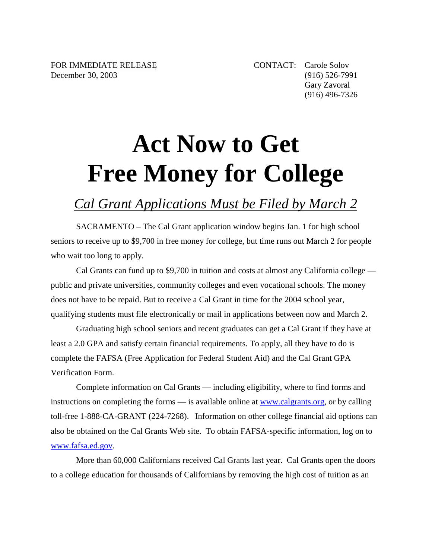## **Act Now to Get Free Money for College**

## *Cal Grant Applications Must be Filed by March 2*

SACRAMENTO – The Cal Grant application window begins Jan. 1 for high school seniors to receive up to \$9,700 in free money for college, but time runs out March 2 for people who wait too long to apply.

Cal Grants can fund up to \$9,700 in tuition and costs at almost any California college public and private universities, community colleges and even vocational schools. The money does not have to be repaid. But to receive a Cal Grant in time for the 2004 school year, qualifying students must file electronically or mail in applications between now and March 2.

Graduating high school seniors and recent graduates can get a Cal Grant if they have at least a 2.0 GPA and satisfy certain financial requirements. To apply, all they have to do is complete the FAFSA (Free Application for Federal Student Aid) and the Cal Grant GPA Verification Form.

Complete information on Cal Grants — including eligibility, where to find forms and instructions on completing the forms — is available online at www.calgrants.org, or by calling toll-free 1-888-CA-GRANT (224-7268). Information on other college financial aid options can also be obtained on the Cal Grants Web site. To obtain FAFSA-specific information, log on to www.fafsa.ed.gov.

More than 60,000 Californians received Cal Grants last year. Cal Grants open the doors to a college education for thousands of Californians by removing the high cost of tuition as an